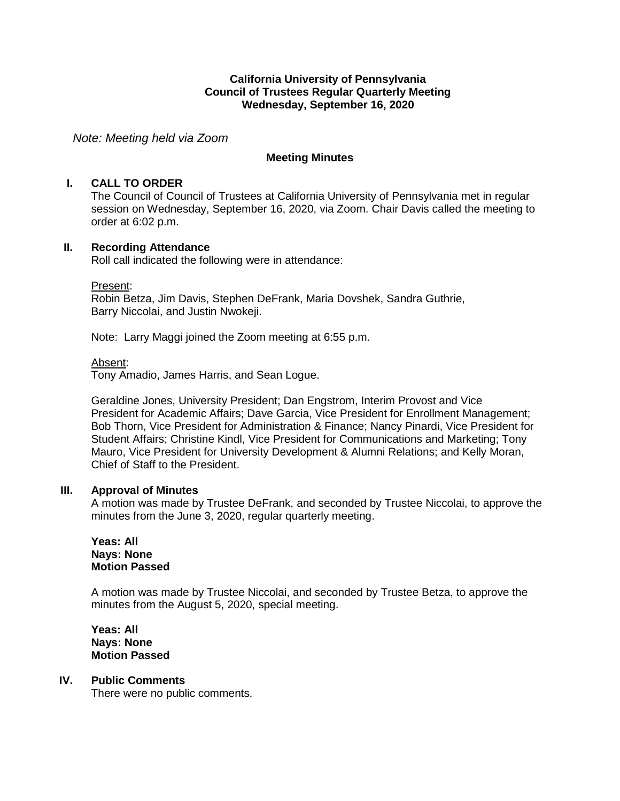## **California University of Pennsylvania Council of Trustees Regular Quarterly Meeting Wednesday, September 16, 2020**

*Note: Meeting held via Zoom*

## **Meeting Minutes**

## **I. CALL TO ORDER**

The Council of Council of Trustees at California University of Pennsylvania met in regular session on Wednesday, September 16, 2020, via Zoom. Chair Davis called the meeting to order at 6:02 p.m.

## **II. Recording Attendance**

Roll call indicated the following were in attendance:

#### Present:

Robin Betza, Jim Davis, Stephen DeFrank, Maria Dovshek, Sandra Guthrie, Barry Niccolai, and Justin Nwokeji.

Note: Larry Maggi joined the Zoom meeting at 6:55 p.m.

#### Absent:

Tony Amadio, James Harris, and Sean Logue.

Geraldine Jones, University President; Dan Engstrom, Interim Provost and Vice President for Academic Affairs; Dave Garcia, Vice President for Enrollment Management; Bob Thorn, Vice President for Administration & Finance; Nancy Pinardi, Vice President for Student Affairs; Christine Kindl, Vice President for Communications and Marketing; Tony Mauro, Vice President for University Development & Alumni Relations; and Kelly Moran, Chief of Staff to the President.

#### **III. Approval of Minutes**

A motion was made by Trustee DeFrank, and seconded by Trustee Niccolai, to approve the minutes from the June 3, 2020, regular quarterly meeting.

**Yeas: All Nays: None Motion Passed**

A motion was made by Trustee Niccolai, and seconded by Trustee Betza, to approve the minutes from the August 5, 2020, special meeting.

**Yeas: All Nays: None Motion Passed**

## **IV. Public Comments**

There were no public comments.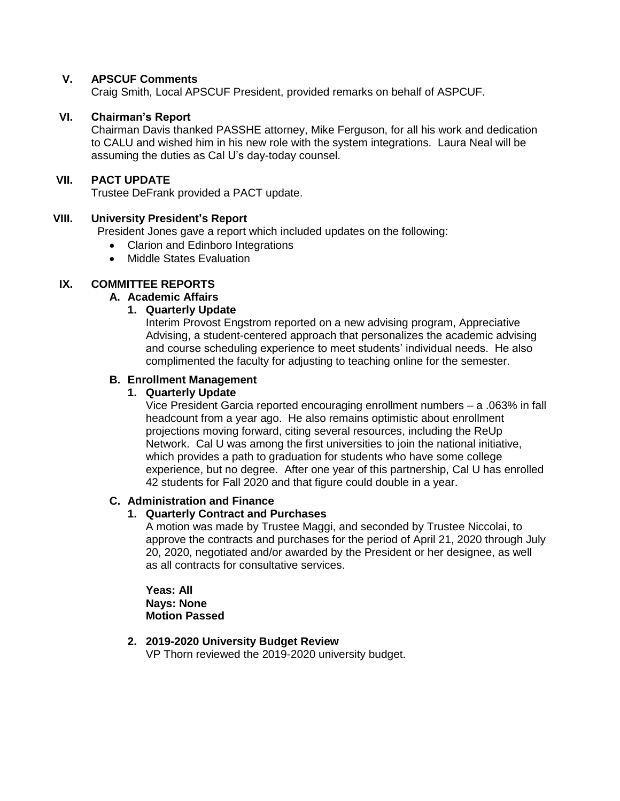# **V. APSCUF Comments**

Craig Smith, Local APSCUF President, provided remarks on behalf of ASPCUF.

## **VI. Chairman's Report**

Chairman Davis thanked PASSHE attorney, Mike Ferguson, for all his work and dedication to CALU and wished him in his new role with the system integrations. Laura Neal will be assuming the duties as Cal U's day-today counsel.

#### **VII. PACT UPDATE**

Trustee DeFrank provided a PACT update.

# **VIII. University President's Report**

President Jones gave a report which included updates on the following:

- Clarion and Edinboro Integrations
- Middle States Evaluation

# **IX. COMMITTEE REPORTS**

#### **A. Academic Affairs**

# **1. Quarterly Update**

Interim Provost Engstrom reported on a new advising program, Appreciative Advising, a student-centered approach that personalizes the academic advising and course scheduling experience to meet students' individual needs. He also complimented the faculty for adjusting to teaching online for the semester.

# **B. Enrollment Management**

## **1. Quarterly Update**

Vice President Garcia reported encouraging enrollment numbers – a .063% in fall headcount from a year ago. He also remains optimistic about enrollment projections moving forward, citing several resources, including the ReUp Network. Cal U was among the first universities to join the national initiative, which provides a path to graduation for students who have some college experience, but no degree. After one year of this partnership, Cal U has enrolled 42 students for Fall 2020 and that figure could double in a year.

# **C. Administration and Finance**

#### **1. Quarterly Contract and Purchases**

A motion was made by Trustee Maggi, and seconded by Trustee Niccolai, to approve the contracts and purchases for the period of April 21, 2020 through July 20, 2020, negotiated and/or awarded by the President or her designee, as well as all contracts for consultative services.

**Yeas: All Nays: None Motion Passed**

# **2. 2019-2020 University Budget Review**

VP Thorn reviewed the 2019-2020 university budget.